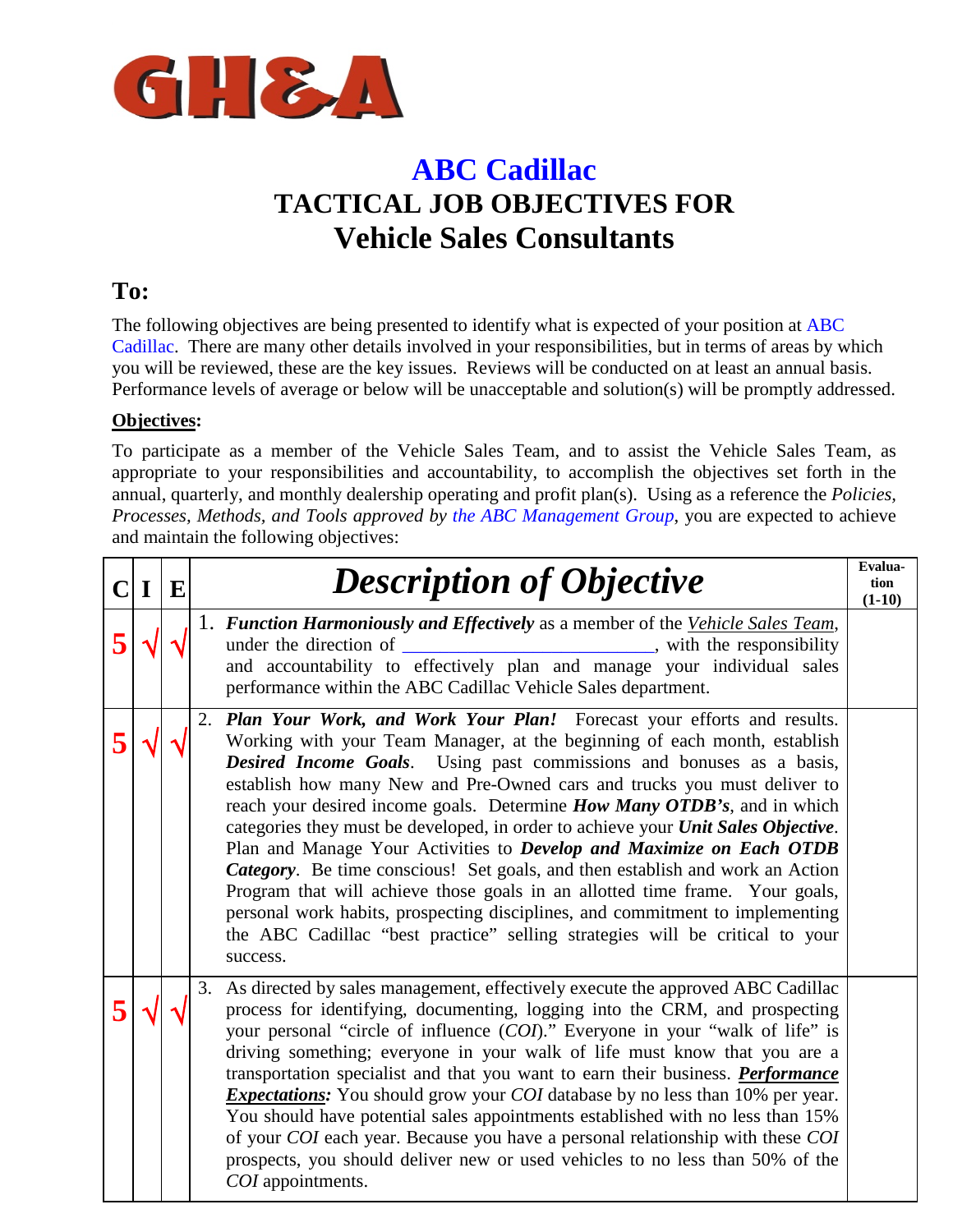

### **ABC Cadillac TACTICAL JOB OBJECTIVES FOR Vehicle Sales Consultants**

### **To:**

The following objectives are being presented to identify what is expected of your position at ABC Cadillac. There are many other details involved in your responsibilities, but in terms of areas by which you will be reviewed, these are the key issues. Reviews will be conducted on at least an annual basis. Performance levels of average or below will be unacceptable and solution(s) will be promptly addressed.

### **Objectives:**

To participate as a member of the Vehicle Sales Team, and to assist the Vehicle Sales Team, as appropriate to your responsibilities and accountability, to accomplish the objectives set forth in the annual, quarterly, and monthly dealership operating and profit plan(s). Using as a reference the *Policies, Processes, Methods, and Tools approved by the ABC Management Group*, you are expected to achieve and maintain the following objectives:

| $\bf{I}$ | E | <b>Description of Objective</b>                                                                                                                                                                                                                                                                                                                                                                                                                                                                                                                                                                                                                                                                                                                                                                                                                                                                                  | Evalua-<br>tion<br>$(1-10)$ |
|----------|---|------------------------------------------------------------------------------------------------------------------------------------------------------------------------------------------------------------------------------------------------------------------------------------------------------------------------------------------------------------------------------------------------------------------------------------------------------------------------------------------------------------------------------------------------------------------------------------------------------------------------------------------------------------------------------------------------------------------------------------------------------------------------------------------------------------------------------------------------------------------------------------------------------------------|-----------------------------|
|          |   | 1. Function Harmoniously and Effectively as a member of the Vehicle Sales Team,<br>under the direction of<br><u> 1989 - Johann Barn, fransk politik (d. 1989)</u><br>, with the responsibility<br>and accountability to effectively plan and manage your individual sales<br>performance within the ABC Cadillac Vehicle Sales department.                                                                                                                                                                                                                                                                                                                                                                                                                                                                                                                                                                       |                             |
|          |   | 2. Plan Your Work, and Work Your Plan! Forecast your efforts and results.<br>Working with your Team Manager, at the beginning of each month, establish<br><b>Desired Income Goals.</b> Using past commissions and bonuses as a basis,<br>establish how many New and Pre-Owned cars and trucks you must deliver to<br>reach your desired income goals. Determine <i>How Many OTDB's</i> , and in which<br>categories they must be developed, in order to achieve your Unit Sales Objective.<br>Plan and Manage Your Activities to Develop and Maximize on Each OTDB<br>Category. Be time conscious! Set goals, and then establish and work an Action<br>Program that will achieve those goals in an allotted time frame. Your goals,<br>personal work habits, prospecting disciplines, and commitment to implementing<br>the ABC Cadillac "best practice" selling strategies will be critical to your<br>success. |                             |
|          |   | As directed by sales management, effectively execute the approved ABC Cadillac<br>3.<br>process for identifying, documenting, logging into the CRM, and prospecting<br>your personal "circle of influence (COI)." Everyone in your "walk of life" is<br>driving something; everyone in your walk of life must know that you are a<br>transportation specialist and that you want to earn their business. <b>Performance</b><br><i>Expectations:</i> You should grow your <i>COI</i> database by no less than 10% per year.<br>You should have potential sales appointments established with no less than 15%<br>of your COI each year. Because you have a personal relationship with these COI<br>prospects, you should deliver new or used vehicles to no less than 50% of the<br>COI appointments.                                                                                                             |                             |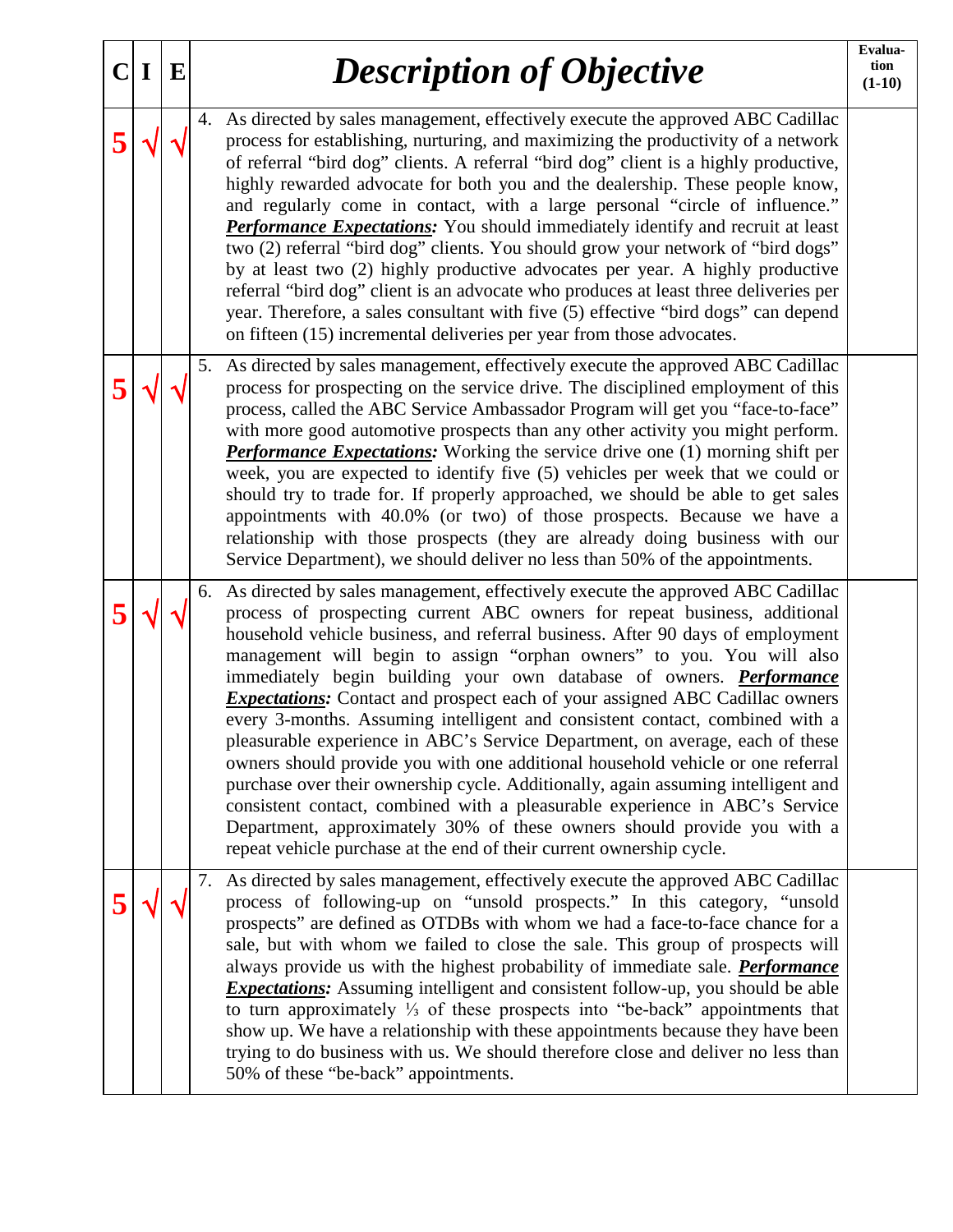| $\mathbf C$ | $\bf{I}$ | E |    | <b>Description of Objective</b>                                                                                                                                                                                                                                                                                                                                                                                                                                                                                                                                                                                                                                                                                                                                                                                                                                                                                                                                                                                                                                        | Evalua-<br>tion<br>$(1-10)$ |
|-------------|----------|---|----|------------------------------------------------------------------------------------------------------------------------------------------------------------------------------------------------------------------------------------------------------------------------------------------------------------------------------------------------------------------------------------------------------------------------------------------------------------------------------------------------------------------------------------------------------------------------------------------------------------------------------------------------------------------------------------------------------------------------------------------------------------------------------------------------------------------------------------------------------------------------------------------------------------------------------------------------------------------------------------------------------------------------------------------------------------------------|-----------------------------|
| 5           |          |   |    | 4. As directed by sales management, effectively execute the approved ABC Cadillac<br>process for establishing, nurturing, and maximizing the productivity of a network<br>of referral "bird dog" clients. A referral "bird dog" client is a highly productive,<br>highly rewarded advocate for both you and the dealership. These people know,<br>and regularly come in contact, with a large personal "circle of influence."<br><b>Performance Expectations:</b> You should immediately identify and recruit at least<br>two (2) referral "bird dog" clients. You should grow your network of "bird dogs"<br>by at least two (2) highly productive advocates per year. A highly productive<br>referral "bird dog" client is an advocate who produces at least three deliveries per<br>year. Therefore, a sales consultant with five (5) effective "bird dogs" can depend<br>on fifteen (15) incremental deliveries per year from those advocates.                                                                                                                     |                             |
|             |          |   |    | 5. As directed by sales management, effectively execute the approved ABC Cadillac<br>process for prospecting on the service drive. The disciplined employment of this<br>process, called the ABC Service Ambassador Program will get you "face-to-face"<br>with more good automotive prospects than any other activity you might perform.<br><b>Performance Expectations:</b> Working the service drive one (1) morning shift per<br>week, you are expected to identify five (5) vehicles per week that we could or<br>should try to trade for. If properly approached, we should be able to get sales<br>appointments with 40.0% (or two) of those prospects. Because we have a<br>relationship with those prospects (they are already doing business with our<br>Service Department), we should deliver no less than 50% of the appointments.                                                                                                                                                                                                                        |                             |
|             |          |   | 6. | As directed by sales management, effectively execute the approved ABC Cadillac<br>process of prospecting current ABC owners for repeat business, additional<br>household vehicle business, and referral business. After 90 days of employment<br>management will begin to assign "orphan owners" to you. You will also<br>immediately begin building your own database of owners. <b>Performance</b><br><b>Expectations:</b> Contact and prospect each of your assigned ABC Cadillac owners<br>every 3-months. Assuming intelligent and consistent contact, combined with a<br>pleasurable experience in ABC's Service Department, on average, each of these<br>owners should provide you with one additional household vehicle or one referral<br>purchase over their ownership cycle. Additionally, again assuming intelligent and<br>consistent contact, combined with a pleasurable experience in ABC's Service<br>Department, approximately 30% of these owners should provide you with a<br>repeat vehicle purchase at the end of their current ownership cycle. |                             |
|             |          |   | 7. | As directed by sales management, effectively execute the approved ABC Cadillac<br>process of following-up on "unsold prospects." In this category, "unsold<br>prospects" are defined as OTDBs with whom we had a face-to-face chance for a<br>sale, but with whom we failed to close the sale. This group of prospects will<br>always provide us with the highest probability of immediate sale. <b>Performance</b><br><i>Expectations:</i> Assuming intelligent and consistent follow-up, you should be able<br>to turn approximately $\frac{1}{3}$ of these prospects into "be-back" appointments that<br>show up. We have a relationship with these appointments because they have been<br>trying to do business with us. We should therefore close and deliver no less than<br>50% of these "be-back" appointments.                                                                                                                                                                                                                                                |                             |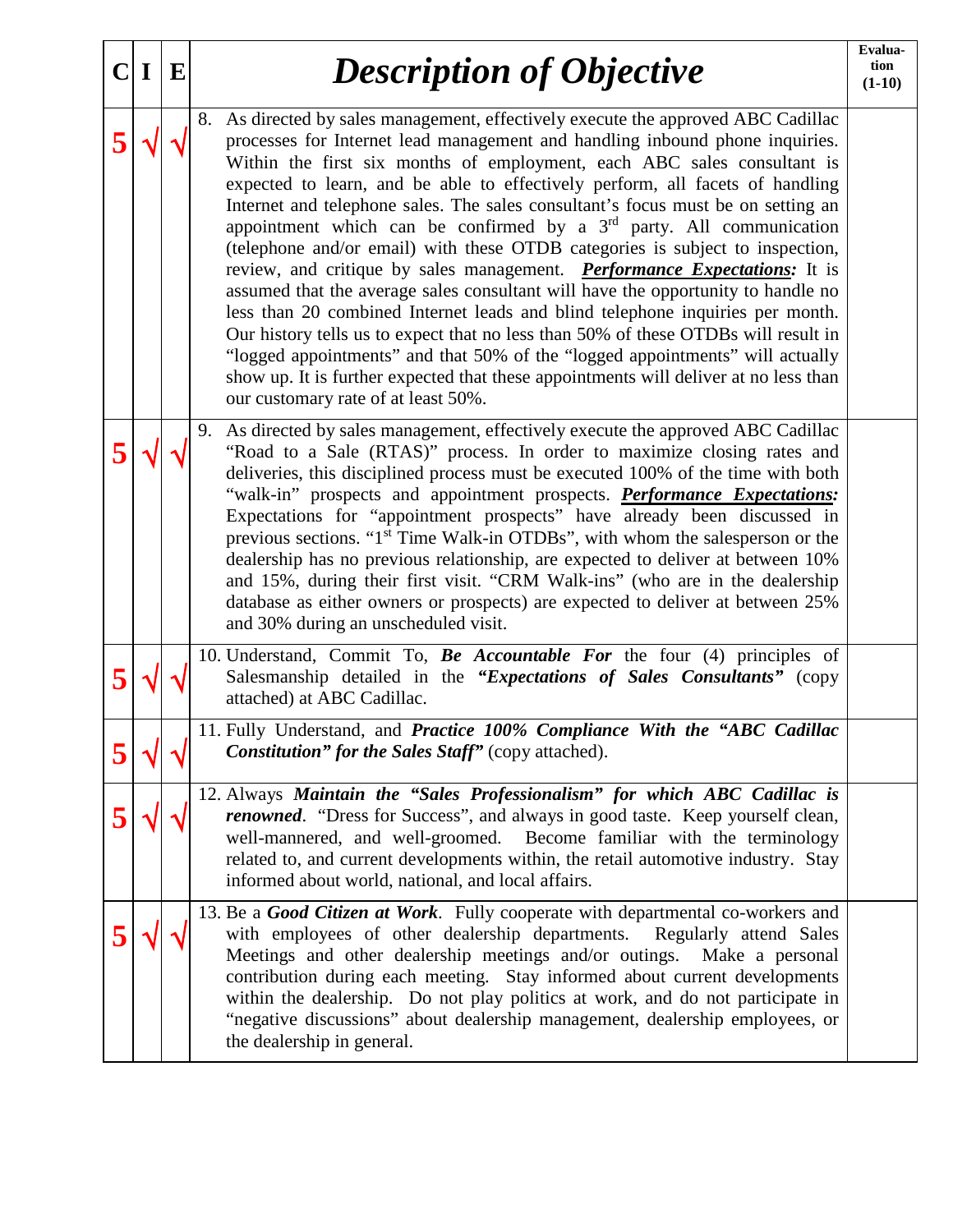| ClI | E | <b>Description of Objective</b>                                                                                                                                                                                                                                                                                                                                                                                                                                                                                                                                                                                                                                                                                                                                                                                                                                                                                                                                                                                                                                                                                                              | Evalua-<br>tion<br>$(1-10)$ |
|-----|---|----------------------------------------------------------------------------------------------------------------------------------------------------------------------------------------------------------------------------------------------------------------------------------------------------------------------------------------------------------------------------------------------------------------------------------------------------------------------------------------------------------------------------------------------------------------------------------------------------------------------------------------------------------------------------------------------------------------------------------------------------------------------------------------------------------------------------------------------------------------------------------------------------------------------------------------------------------------------------------------------------------------------------------------------------------------------------------------------------------------------------------------------|-----------------------------|
|     |   | 8. As directed by sales management, effectively execute the approved ABC Cadillac<br>processes for Internet lead management and handling inbound phone inquiries.<br>Within the first six months of employment, each ABC sales consultant is<br>expected to learn, and be able to effectively perform, all facets of handling<br>Internet and telephone sales. The sales consultant's focus must be on setting an<br>appointment which can be confirmed by a $3rd$ party. All communication<br>(telephone and/or email) with these OTDB categories is subject to inspection,<br>review, and critique by sales management. <b>Performance Expectations</b> : It is<br>assumed that the average sales consultant will have the opportunity to handle no<br>less than 20 combined Internet leads and blind telephone inquiries per month.<br>Our history tells us to expect that no less than 50% of these OTDBs will result in<br>"logged appointments" and that 50% of the "logged appointments" will actually<br>show up. It is further expected that these appointments will deliver at no less than<br>our customary rate of at least 50%. |                             |
|     |   | 9. As directed by sales management, effectively execute the approved ABC Cadillac<br>"Road to a Sale (RTAS)" process. In order to maximize closing rates and<br>deliveries, this disciplined process must be executed 100% of the time with both<br>"walk-in" prospects and appointment prospects. <i>Performance Expectations</i> :<br>Expectations for "appointment prospects" have already been discussed in<br>previous sections. "1 <sup>st</sup> Time Walk-in OTDBs", with whom the salesperson or the<br>dealership has no previous relationship, are expected to deliver at between 10%<br>and 15%, during their first visit. "CRM Walk-ins" (who are in the dealership<br>database as either owners or prospects) are expected to deliver at between 25%<br>and 30% during an unscheduled visit.                                                                                                                                                                                                                                                                                                                                    |                             |
|     |   | 10. Understand, Commit To, Be Accountable For the four (4) principles of<br>Salesmanship detailed in the "Expectations of Sales Consultants" (copy<br>attached) at ABC Cadillac.                                                                                                                                                                                                                                                                                                                                                                                                                                                                                                                                                                                                                                                                                                                                                                                                                                                                                                                                                             |                             |
|     |   | 11. Fully Understand, and Practice 100% Compliance With the "ABC Cadillac<br>Constitution" for the Sales Staff" (copy attached).                                                                                                                                                                                                                                                                                                                                                                                                                                                                                                                                                                                                                                                                                                                                                                                                                                                                                                                                                                                                             |                             |
|     |   | 12. Always Maintain the "Sales Professionalism" for which ABC Cadillac is<br><i>renowned.</i> "Dress for Success", and always in good taste. Keep yourself clean,<br>well-mannered, and well-groomed. Become familiar with the terminology<br>related to, and current developments within, the retail automotive industry. Stay<br>informed about world, national, and local affairs.                                                                                                                                                                                                                                                                                                                                                                                                                                                                                                                                                                                                                                                                                                                                                        |                             |
|     |   | 13. Be a Good Citizen at Work. Fully cooperate with departmental co-workers and<br>with employees of other dealership departments.<br>Regularly attend Sales<br>Meetings and other dealership meetings and/or outings. Make a personal<br>contribution during each meeting. Stay informed about current developments<br>within the dealership. Do not play politics at work, and do not participate in<br>"negative discussions" about dealership management, dealership employees, or<br>the dealership in general.                                                                                                                                                                                                                                                                                                                                                                                                                                                                                                                                                                                                                         |                             |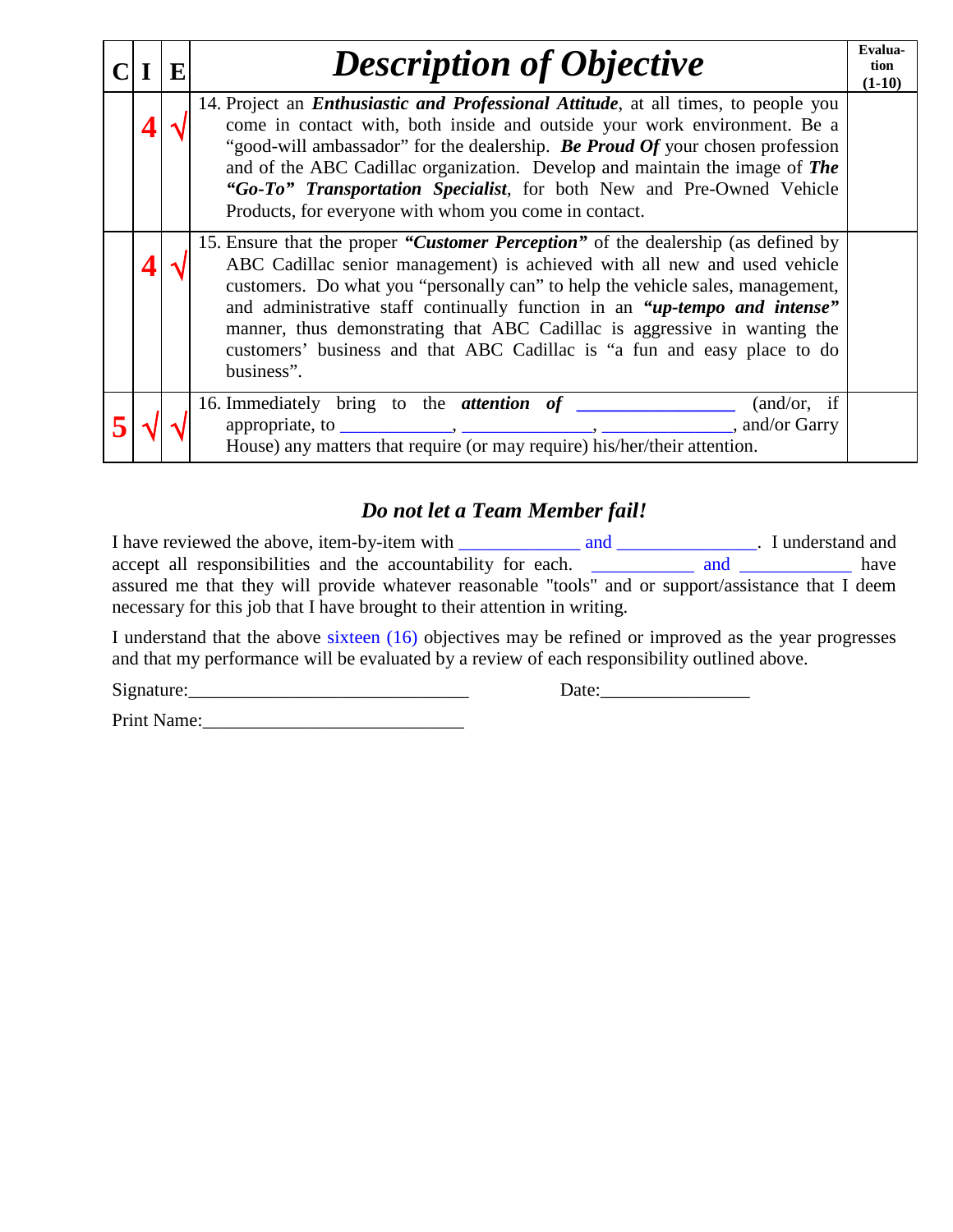|  | E | <b>Description of Objective</b>                                                                                                                                                                                                                                                                                                                                                                                                                                                                       | Evalua-<br>tion<br>$(1-10)$ |
|--|---|-------------------------------------------------------------------------------------------------------------------------------------------------------------------------------------------------------------------------------------------------------------------------------------------------------------------------------------------------------------------------------------------------------------------------------------------------------------------------------------------------------|-----------------------------|
|  |   | 14. Project an <i>Enthusiastic and Professional Attitude</i> , at all times, to people you<br>come in contact with, both inside and outside your work environment. Be a<br>"good-will ambassador" for the dealership. Be Proud Of your chosen profession<br>and of the ABC Cadillac organization. Develop and maintain the image of The<br>"Go-To" Transportation Specialist, for both New and Pre-Owned Vehicle<br>Products, for everyone with whom you come in contact.                             |                             |
|  |   | 15. Ensure that the proper "Customer Perception" of the dealership (as defined by<br>ABC Cadillac senior management) is achieved with all new and used vehicle<br>customers. Do what you "personally can" to help the vehicle sales, management,<br>and administrative staff continually function in an "up-tempo and intense"<br>manner, thus demonstrating that ABC Cadillac is aggressive in wanting the<br>customers' business and that ABC Cadillac is "a fun and easy place to do<br>business". |                             |
|  |   | 16. Immediately bring to the attention of<br>(and/or, if)<br>, and/or Garry<br>House) any matters that require (or may require) his/her/their attention.                                                                                                                                                                                                                                                                                                                                              |                             |

### *Do not let a Team Member fail!*

I have reviewed the above, item-by-item with \_\_\_\_\_\_\_\_\_\_\_\_\_\_\_\_\_\_\_\_\_\_\_\_\_\_\_\_\_\_\_\_\_\_. I understand and accept all responsibilities and the accountability for each. \_\_\_\_\_\_\_\_\_\_\_\_ and \_\_\_\_\_\_\_\_\_\_\_\_ have assured me that they will provide whatever reasonable "tools" and or support/assistance that I deem necessary for this job that I have brought to their attention in writing.

I understand that the above sixteen (16) objectives may be refined or improved as the year progresses and that my performance will be evaluated by a review of each responsibility outlined above.

Signature:\_\_\_\_\_\_\_\_\_\_\_\_\_\_\_\_\_\_\_\_\_\_\_\_\_\_\_\_\_\_ Date:\_\_\_\_\_\_\_\_\_\_\_\_\_\_\_\_

Print Name: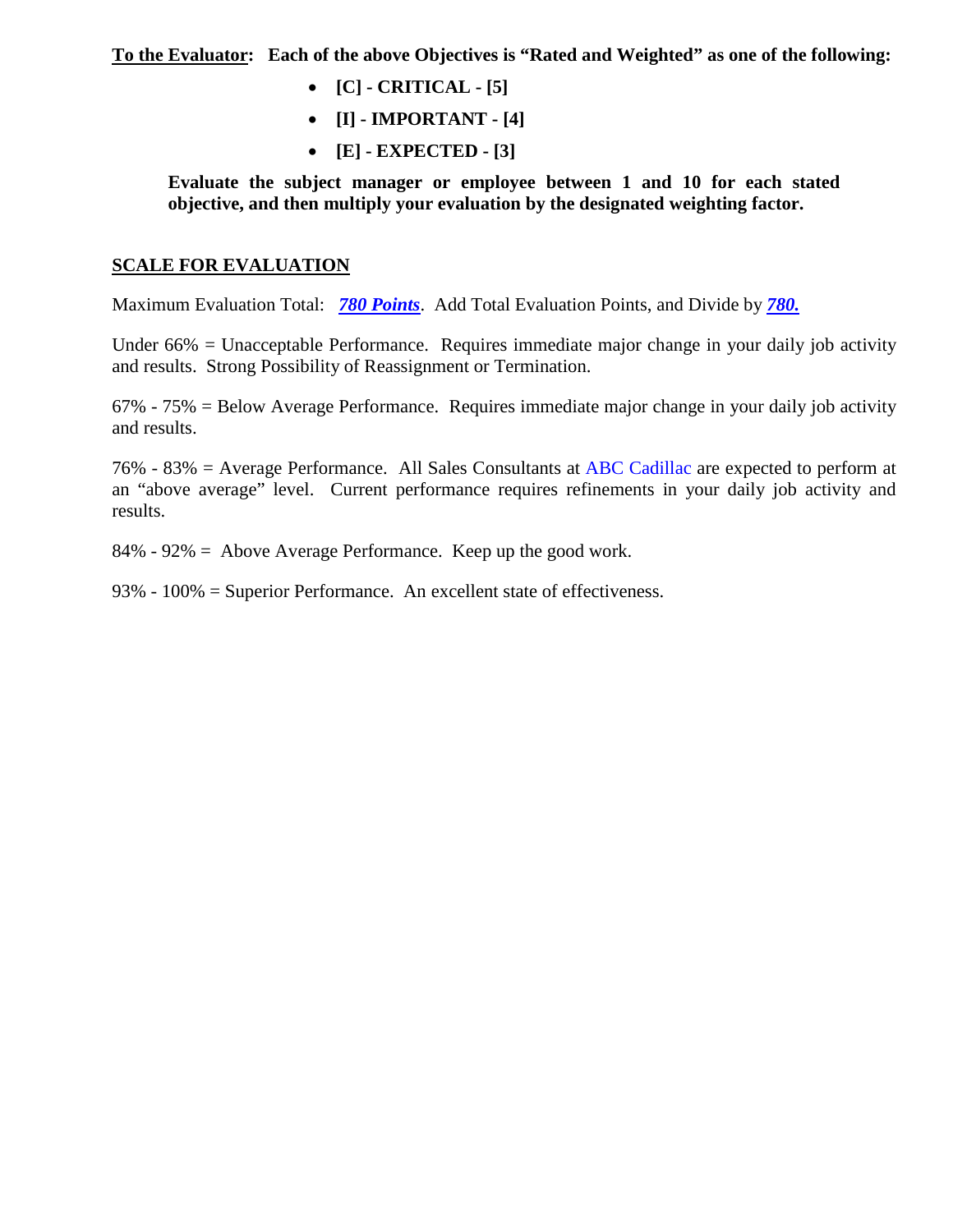**To the Evaluator: Each of the above Objectives is "Rated and Weighted" as one of the following:**

- **[C] - CRITICAL - [5]**
- **[I] - IMPORTANT - [4]**
- **[E] - EXPECTED - [3]**

**Evaluate the subject manager or employee between 1 and 10 for each stated objective, and then multiply your evaluation by the designated weighting factor.** 

#### **SCALE FOR EVALUATION**

Maximum Evaluation Total: *780 Points*. Add Total Evaluation Points, and Divide by *780.*

Under 66% = Unacceptable Performance. Requires immediate major change in your daily job activity and results. Strong Possibility of Reassignment or Termination.

67% - 75% = Below Average Performance. Requires immediate major change in your daily job activity and results.

76% - 83% = Average Performance. All Sales Consultants at ABC Cadillac are expected to perform at an "above average" level. Current performance requires refinements in your daily job activity and results.

84% - 92% = Above Average Performance. Keep up the good work.

93% - 100% = Superior Performance. An excellent state of effectiveness.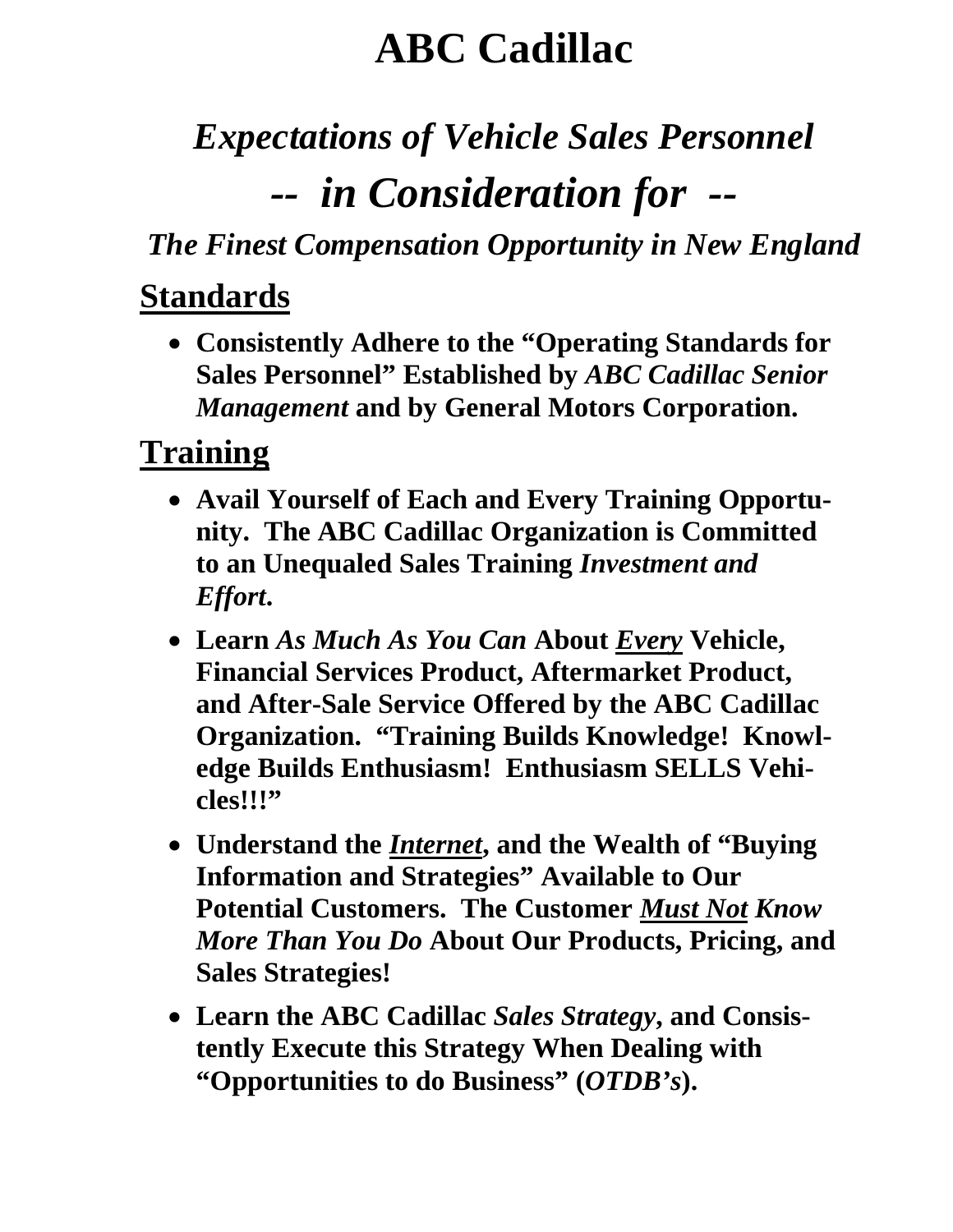# **ABC Cadillac**

# *Expectations of Vehicle Sales Personnel -- in Consideration for --*

*The Finest Compensation Opportunity in New England*

## **Standards**

• **Consistently Adhere to the "Operating Standards for Sales Personnel" Established by** *ABC Cadillac Senior Management* **and by General Motors Corporation.** 

## **Training**

- **Avail Yourself of Each and Every Training Opportunity. The ABC Cadillac Organization is Committed to an Unequaled Sales Training** *Investment and Effort***.**
- **Learn** *As Much As You Can* **About** *Every* **Vehicle, Financial Services Product, Aftermarket Product, and After-Sale Service Offered by the ABC Cadillac Organization. "Training Builds Knowledge! Knowledge Builds Enthusiasm! Enthusiasm SELLS Vehicles!!!"**
- **Understand the** *Internet***, and the Wealth of "Buying Information and Strategies" Available to Our Potential Customers. The Customer** *Must Not Know More Than You Do* **About Our Products, Pricing, and Sales Strategies!**
- **Learn the ABC Cadillac** *Sales Strategy***, and Consistently Execute this Strategy When Dealing with "Opportunities to do Business" (***OTDB's***).**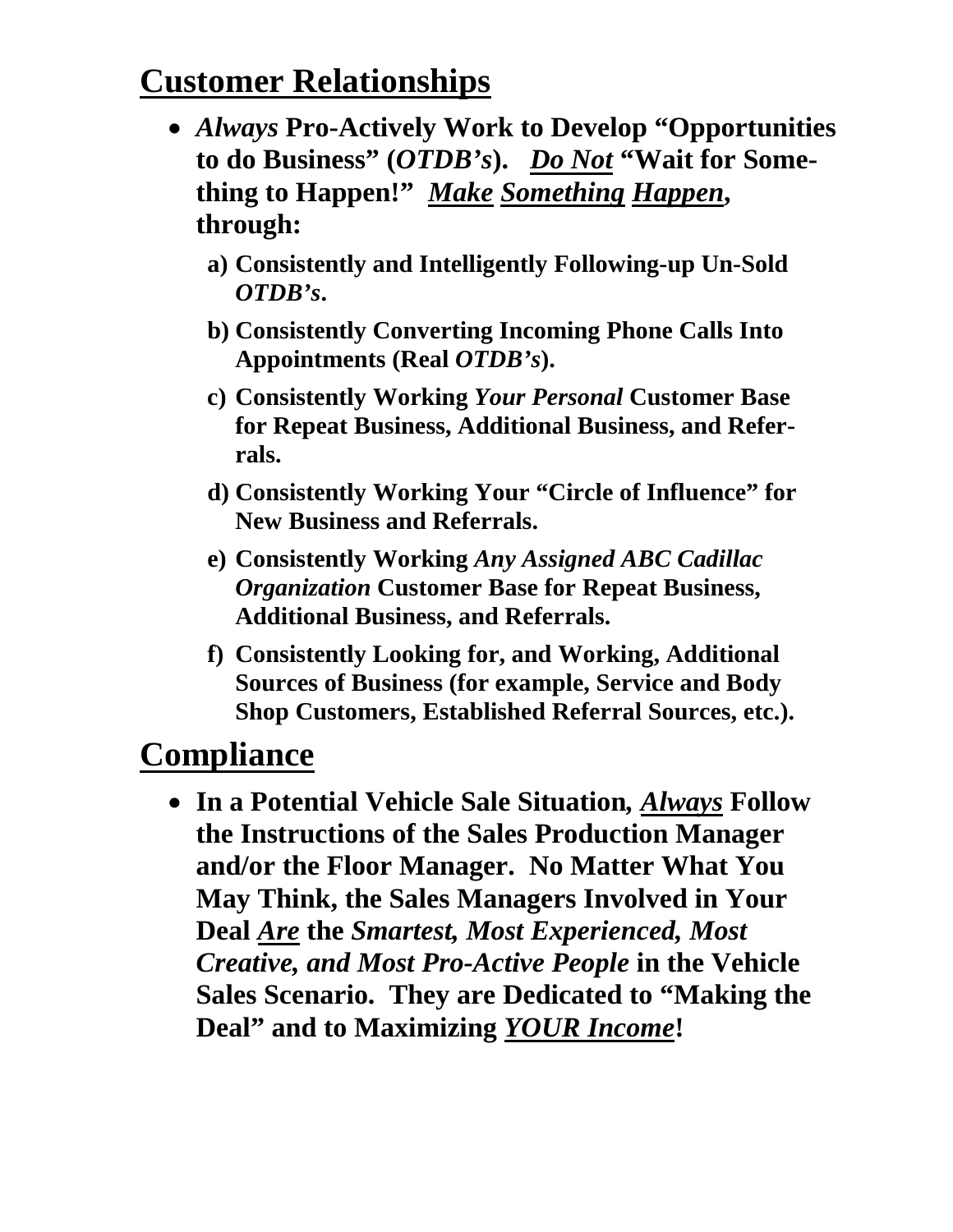## **Customer Relationships**

- *Always* **Pro-Actively Work to Develop "Opportunities to do Business" (***OTDB's***).** *Do Not* **"Wait for Something to Happen!"** *Make Something Happen***, through:**
	- **a) Consistently and Intelligently Following-up Un-Sold**  *OTDB's***.**
	- **b) Consistently Converting Incoming Phone Calls Into Appointments (Real** *OTDB's***).**
	- **c) Consistently Working** *Your Personal* **Customer Base for Repeat Business, Additional Business, and Referrals.**
	- **d) Consistently Working Your "Circle of Influence" for New Business and Referrals.**
	- **e) Consistently Working** *Any Assigned ABC Cadillac Organization* **Customer Base for Repeat Business, Additional Business, and Referrals.**
	- **f) Consistently Looking for, and Working, Additional Sources of Business (for example, Service and Body Shop Customers, Established Referral Sources, etc.).**

## **Compliance**

• **In a Potential Vehicle Sale Situation***, Always* **Follow the Instructions of the Sales Production Manager and/or the Floor Manager. No Matter What You May Think, the Sales Managers Involved in Your Deal** *Are* **the** *Smartest, Most Experienced, Most Creative, and Most Pro-Active People* **in the Vehicle Sales Scenario. They are Dedicated to "Making the Deal" and to Maximizing** *YOUR Income***!**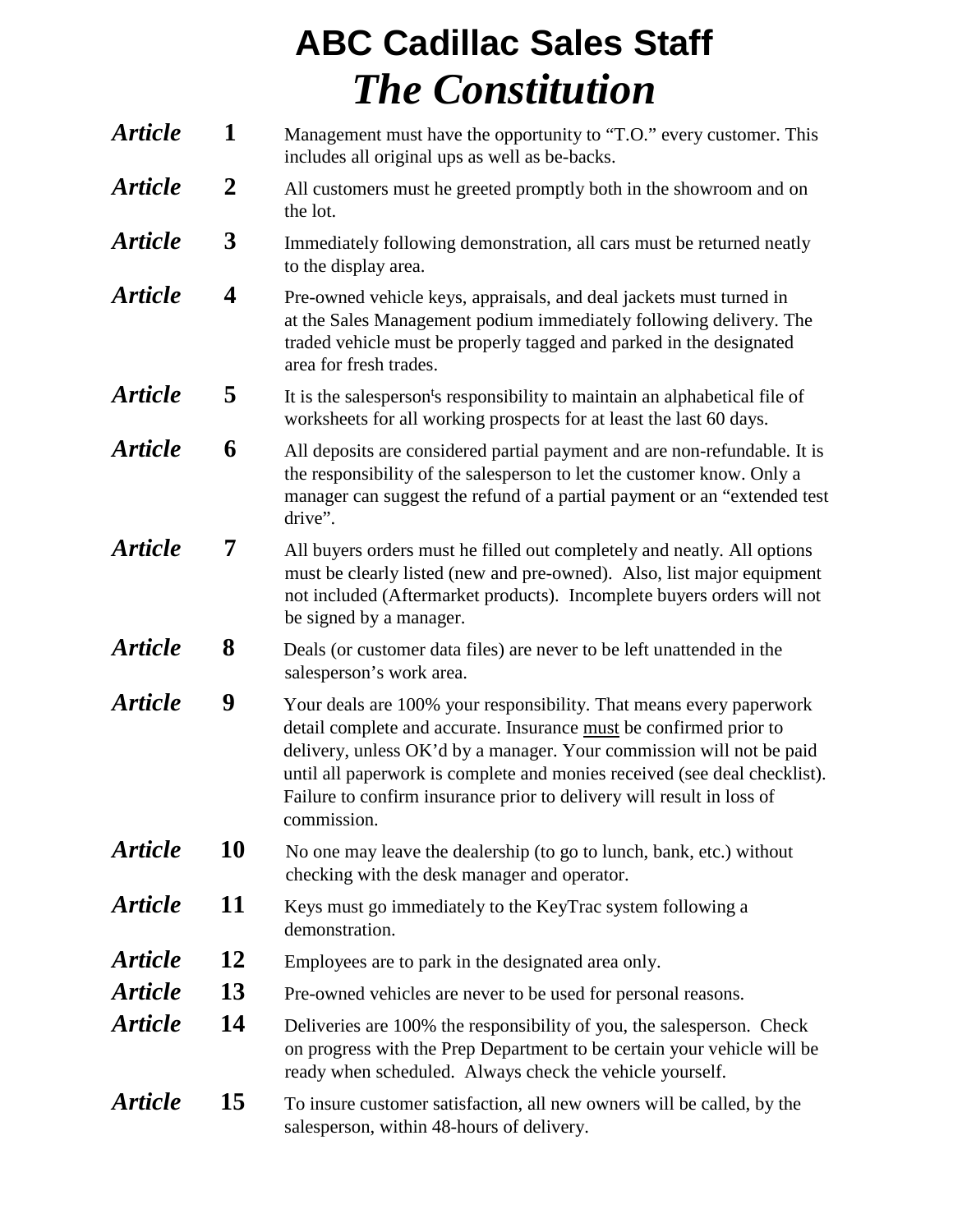## **ABC Cadillac Sales Staff** *The Constitution*

| <b>Article</b>        | $\mathbf{1}$            | Management must have the opportunity to "T.O." every customer. This<br>includes all original ups as well as be-backs.                                                                                                                                                                                                                                                                  |
|-----------------------|-------------------------|----------------------------------------------------------------------------------------------------------------------------------------------------------------------------------------------------------------------------------------------------------------------------------------------------------------------------------------------------------------------------------------|
| <b>Article</b>        | $\overline{2}$          | All customers must he greeted promptly both in the showroom and on<br>the lot.                                                                                                                                                                                                                                                                                                         |
| <b>Article</b>        | $\boldsymbol{3}$        | Immediately following demonstration, all cars must be returned neatly<br>to the display area.                                                                                                                                                                                                                                                                                          |
| <b>Article</b>        | $\overline{\mathbf{4}}$ | Pre-owned vehicle keys, appraisals, and deal jackets must turned in<br>at the Sales Management podium immediately following delivery. The<br>traded vehicle must be properly tagged and parked in the designated<br>area for fresh trades.                                                                                                                                             |
| <b>Article</b>        | 5                       | It is the salesperson's responsibility to maintain an alphabetical file of<br>worksheets for all working prospects for at least the last 60 days.                                                                                                                                                                                                                                      |
| <b>Article</b>        | 6                       | All deposits are considered partial payment and are non-refundable. It is<br>the responsibility of the salesperson to let the customer know. Only a<br>manager can suggest the refund of a partial payment or an "extended test<br>drive".                                                                                                                                             |
| <b>Article</b>        | 7                       | All buyers orders must he filled out completely and neatly. All options<br>must be clearly listed (new and pre-owned). Also, list major equipment<br>not included (Aftermarket products). Incomplete buyers orders will not<br>be signed by a manager.                                                                                                                                 |
| <b>Article</b>        | 8                       | Deals (or customer data files) are never to be left unattended in the<br>salesperson's work area.                                                                                                                                                                                                                                                                                      |
| <b>Article</b>        | 9                       | Your deals are 100% your responsibility. That means every paperwork<br>detail complete and accurate. Insurance must be confirmed prior to<br>delivery, unless OK'd by a manager. Your commission will not be paid<br>until all paperwork is complete and monies received (see deal checklist).<br>Failure to confirm insurance prior to delivery will result in loss of<br>commission. |
| <i><b>Article</b></i> | 10                      | No one may leave the dealership (to go to lunch, bank, etc.) without<br>checking with the desk manager and operator.                                                                                                                                                                                                                                                                   |
| <i><b>Article</b></i> | 11                      | Keys must go immediately to the KeyTrac system following a<br>demonstration.                                                                                                                                                                                                                                                                                                           |
| <b>Article</b>        | 12                      | Employees are to park in the designated area only.                                                                                                                                                                                                                                                                                                                                     |
| <b>Article</b>        | 13                      | Pre-owned vehicles are never to be used for personal reasons.                                                                                                                                                                                                                                                                                                                          |
| <b>Article</b>        | 14                      | Deliveries are 100% the responsibility of you, the salesperson. Check<br>on progress with the Prep Department to be certain your vehicle will be<br>ready when scheduled. Always check the vehicle yourself.                                                                                                                                                                           |
| <b>Article</b>        | 15                      | To insure customer satisfaction, all new owners will be called, by the<br>salesperson, within 48-hours of delivery.                                                                                                                                                                                                                                                                    |